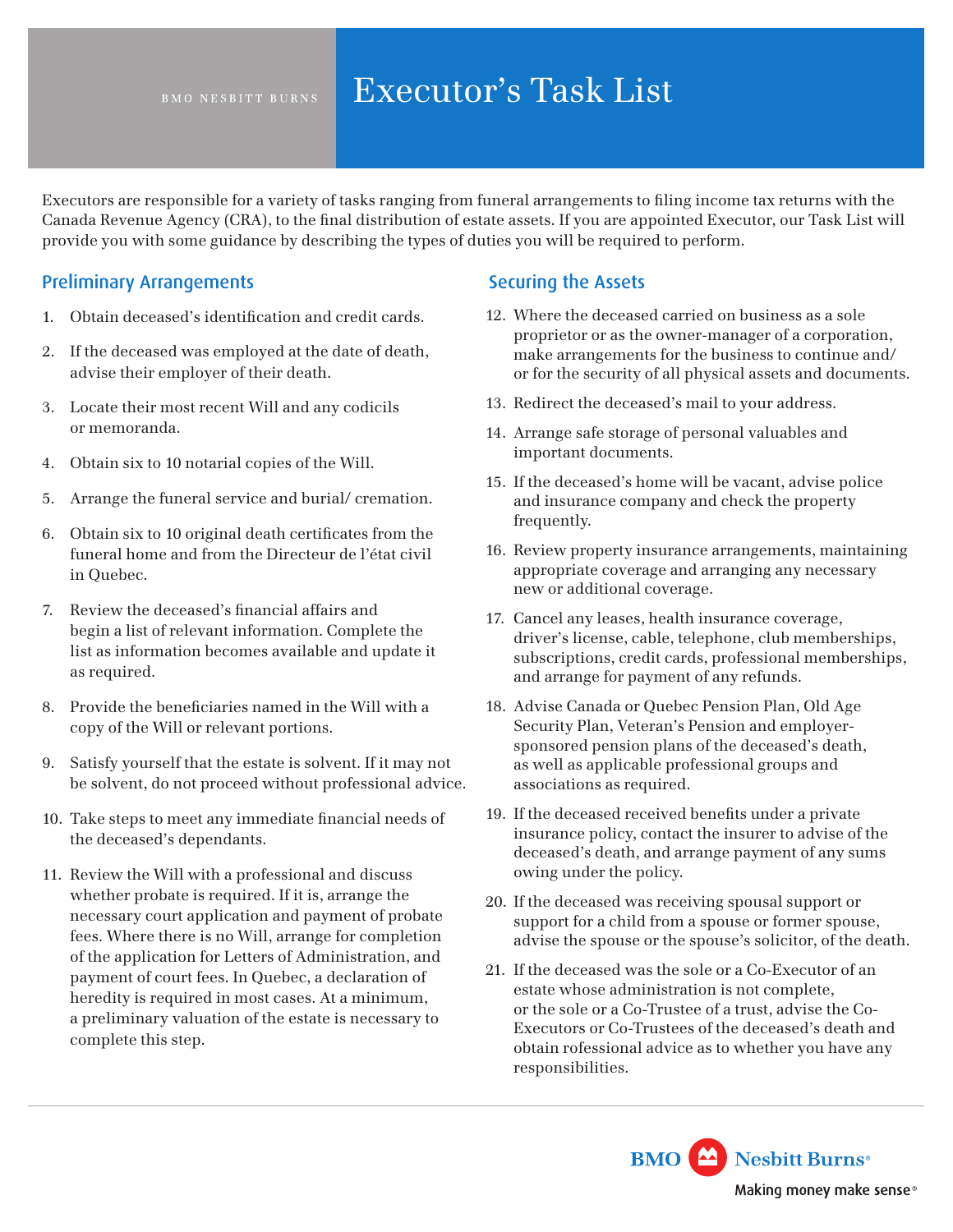# BMO NESBITT BURNS Executor's Task List

Executors are responsible for a variety of tasks ranging from funeral arrangements to fling income tax returns with the Canada Revenue Agency (CRA), to the fnal distribution of estate assets. If you are appointed Executor, our Task List will provide you with some guidance by describing the types of duties you will be required to perform.

#### Preliminary Arrangements

- 1. Obtain deceased's identifcation and credit cards.
- 2. If the deceased was employed at the date of death, advise their employer of their death.
- 3. Locate their most recent Will and any codicils or memoranda.
- 4. Obtain six to 10 notarial copies of the Will.
- 5. Arrange the funeral service and burial/ cremation.
- 6. Obtain six to 10 original death certifcates from the funeral home and from the Directeur de l'état civil in Quebec.
- 7. Review the deceased's fnancial affairs and begin a list of relevant information. Complete the list as information becomes available and update it as required.
- 8. Provide the benefciaries named in the Will with a copy of the Will or relevant portions.
- 9. Satisfy yourself that the estate is solvent. If it may not be solvent, do not proceed without professional advice.
- 10. Take steps to meet any immediate fnancial needs of the deceased's dependants.
- 11. Review the Will with a professional and discuss whether probate is required. If it is, arrange the necessary court application and payment of probate fees. Where there is no Will, arrange for completion of the application for Letters of Administration, and payment of court fees. In Quebec, a declaration of heredity is required in most cases. At a minimum, a preliminary valuation of the estate is necessary to complete this step.

#### Securing the Assets

- 12. Where the deceased carried on business as a sole proprietor or as the owner-manager of a corporation, make arrangements for the business to continue and/ or for the security of all physical assets and documents.
- 13. Redirect the deceased's mail to your address.
- 14. Arrange safe storage of personal valuables and important documents.
- 15. If the deceased's home will be vacant, advise police and insurance company and check the property frequently.
- 16. Review property insurance arrangements, maintaining appropriate coverage and arranging any necessary new or additional coverage.
- 17. Cancel any leases, health insurance coverage, driver's license, cable, telephone, club memberships, subscriptions, credit cards, professional memberships, and arrange for payment of any refunds.
- 18. Advise Canada or Quebec Pension Plan, Old Age Security Plan, Veteran's Pension and employersponsored pension plans of the deceased's death, as well as applicable professional groups and associations as required.
- 19. If the deceased received benefts under a private insurance policy, contact the insurer to advise of the deceased's death, and arrange payment of any sums owing under the policy.
- 20. If the deceased was receiving spousal support or support for a child from a spouse or former spouse, advise the spouse or the spouse's solicitor, of the death.
- 21. If the deceased was the sole or a Co-Executor of an estate whose administration is not complete, or the sole or a Co-Trustee of a trust, advise the Co-Executors or Co-Trustees of the deceased's death and obtain rofessional advice as to whether you have any responsibilities.

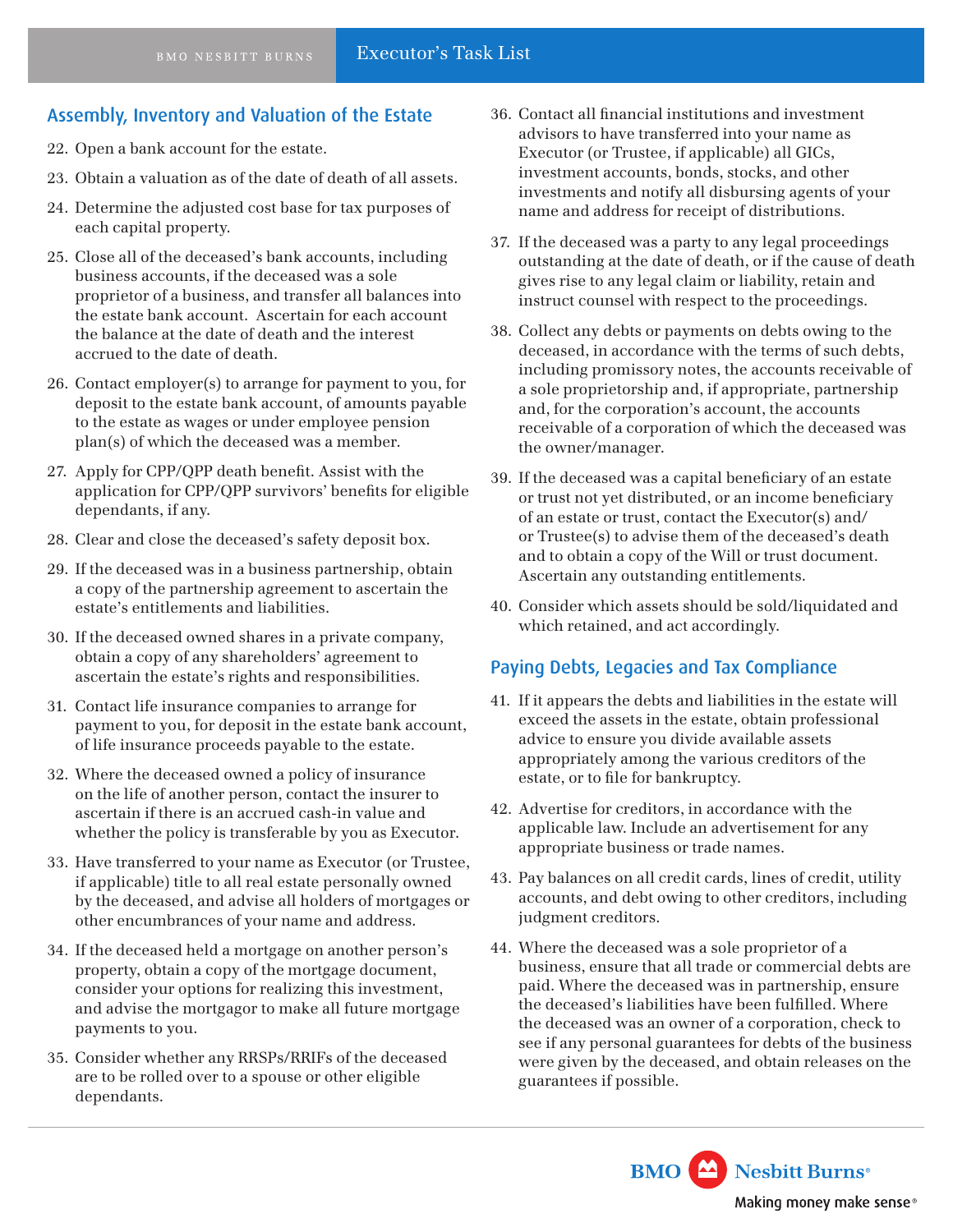## Assembly, Inventory and Valuation of the Estate

- 22. Open a bank account for the estate.
- 23. Obtain a valuation as of the date of death of all assets.
- 24. Determine the adjusted cost base for tax purposes of each capital property.
- 25. Close all of the deceased's bank accounts, including business accounts, if the deceased was a sole proprietor of a business, and transfer all balances into the estate bank account. Ascertain for each account the balance at the date of death and the interest accrued to the date of death.
- 26. Contact employer(s) to arrange for payment to you, for deposit to the estate bank account, of amounts payable to the estate as wages or under employee pension plan(s) of which the deceased was a member.
- 27. Apply for CPP/QPP death beneft. Assist with the application for CPP/QPP survivors' benefts for eligible dependants, if any.
- 28. Clear and close the deceased's safety deposit box.
- 29. If the deceased was in a business partnership, obtain a copy of the partnership agreement to ascertain the estate's entitlements and liabilities.
- 30. If the deceased owned shares in a private company, obtain a copy of any shareholders' agreement to ascertain the estate's rights and responsibilities.
- 31. Contact life insurance companies to arrange for payment to you, for deposit in the estate bank account, of life insurance proceeds payable to the estate.
- 32. Where the deceased owned a policy of insurance on the life of another person, contact the insurer to ascertain if there is an accrued cash-in value and whether the policy is transferable by you as Executor.
- 33. Have transferred to your name as Executor (or Trustee, if applicable) title to all real estate personally owned by the deceased, and advise all holders of mortgages or other encumbrances of your name and address.
- 34. If the deceased held a mortgage on another person's property, obtain a copy of the mortgage document, consider your options for realizing this investment, and advise the mortgagor to make all future mortgage payments to you.
- 35. Consider whether any RRSPs/RRIFs of the deceased are to be rolled over to a spouse or other eligible dependants.
- 36. Contact all fnancial institutions and investment advisors to have transferred into your name as Executor (or Trustee, if applicable) all GICs, investment accounts, bonds, stocks, and other investments and notify all disbursing agents of your name and address for receipt of distributions.
- 37. If the deceased was a party to any legal proceedings outstanding at the date of death, or if the cause of death gives rise to any legal claim or liability, retain and instruct counsel with respect to the proceedings.
- 38. Collect any debts or payments on debts owing to the deceased, in accordance with the terms of such debts, including promissory notes, the accounts receivable of a sole proprietorship and, if appropriate, partnership and, for the corporation's account, the accounts receivable of a corporation of which the deceased was the owner/manager.
- 39. If the deceased was a capital benefciary of an estate or trust not yet distributed, or an income benefciary of an estate or trust, contact the Executor(s) and/ or Trustee(s) to advise them of the deceased's death and to obtain a copy of the Will or trust document. Ascertain any outstanding entitlements.
- 40. Consider which assets should be sold/liquidated and which retained, and act accordingly.

## Paying Debts, Legacies and Tax Compliance

- 41. If it appears the debts and liabilities in the estate will exceed the assets in the estate, obtain professional advice to ensure you divide available assets appropriately among the various creditors of the estate, or to fle for bankruptcy.
- 42. Advertise for creditors, in accordance with the applicable law. Include an advertisement for any appropriate business or trade names.
- 43. Pay balances on all credit cards, lines of credit, utility accounts, and debt owing to other creditors, including judgment creditors.
- 44. Where the deceased was a sole proprietor of a business, ensure that all trade or commercial debts are paid. Where the deceased was in partnership, ensure the deceased's liabilities have been fulflled. Where the deceased was an owner of a corporation, check to see if any personal guarantees for debts of the business were given by the deceased, and obtain releases on the guarantees if possible.

**BMO** Nesbitt Burns<sup>®</sup> Making money make sense®